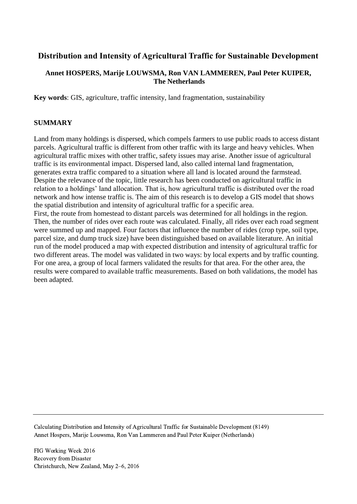# **Distribution and Intensity of Agricultural Traffic for Sustainable Development**

## **Annet HOSPERS, Marije LOUWSMA, Ron VAN LAMMEREN, Paul Peter KUIPER, The Netherlands**

**Key words**: GIS, agriculture, traffic intensity, land fragmentation, sustainability

## **SUMMARY**

Land from many holdings is dispersed, which compels farmers to use public roads to access distant parcels. Agricultural traffic is different from other traffic with its large and heavy vehicles. When agricultural traffic mixes with other traffic, safety issues may arise. Another issue of agricultural traffic is its environmental impact. Dispersed land, also called internal land fragmentation, generates extra traffic compared to a situation where all land is located around the farmstead. Despite the relevance of the topic, little research has been conducted on agricultural traffic in relation to a holdings' land allocation. That is, how agricultural traffic is distributed over the road network and how intense traffic is. The aim of this research is to develop a GIS model that shows the spatial distribution and intensity of agricultural traffic for a specific area. First, the route from homestead to distant parcels was determined for all holdings in the region. Then, the number of rides over each route was calculated. Finally, all rides over each road segment were summed up and mapped. Four factors that influence the number of rides (crop type, soil type, parcel size, and dump truck size) have been distinguished based on available literature. An initial run of the model produced a map with expected distribution and intensity of agricultural traffic for two different areas. The model was validated in two ways: by local experts and by traffic counting. For one area, a group of local farmers validated the results for that area. For the other area, the

results were compared to available traffic measurements. Based on both validations, the model has been adapted.

Calculating Distribution and Intensity of Agricultural Traffic for Sustainable Development (8149) Annet Hospers, Marije Louwsma, Ron Van Lammeren and Paul Peter Kuiper (Netherlands)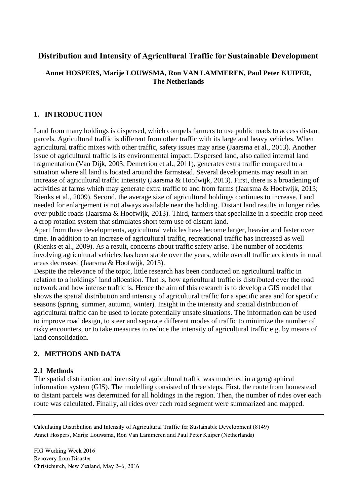# **Distribution and Intensity of Agricultural Traffic for Sustainable Development**

## **Annet HOSPERS, Marije LOUWSMA, Ron VAN LAMMEREN, Paul Peter KUIPER, The Netherlands**

## **1. INTRODUCTION**

Land from many holdings is dispersed, which compels farmers to use public roads to access distant parcels. Agricultural traffic is different from other traffic with its large and heavy vehicles. When agricultural traffic mixes with other traffic, safety issues may arise (Jaarsma et al., 2013). Another issue of agricultural traffic is its environmental impact. Dispersed land, also called internal land fragmentation (Van Dijk, 2003; Demetriou et al., 2011), generates extra traffic compared to a situation where all land is located around the farmstead. Several developments may result in an increase of agricultural traffic intensity (Jaarsma & Hoofwijk, 2013). First, there is a broadening of activities at farms which may generate extra traffic to and from farms (Jaarsma & Hoofwijk, 2013; Rienks et al., 2009). Second, the average size of agricultural holdings continues to increase. Land needed for enlargement is not always available near the holding. Distant land results in longer rides over public roads (Jaarsma & Hoofwijk, 2013). Third, farmers that specialize in a specific crop need a crop rotation system that stimulates short term use of distant land.

Apart from these developments, agricultural vehicles have become larger, heavier and faster over time. In addition to an increase of agricultural traffic, recreational traffic has increased as well (Rienks et al., 2009). As a result, concerns about traffic safety arise. The number of accidents involving agricultural vehicles has been stable over the years, while overall traffic accidents in rural areas decreased (Jaarsma & Hoofwijk, 2013).

Despite the relevance of the topic, little research has been conducted on agricultural traffic in relation to a holdings' land allocation. That is, how agricultural traffic is distributed over the road network and how intense traffic is. Hence the aim of this research is to develop a GIS model that shows the spatial distribution and intensity of agricultural traffic for a specific area and for specific seasons (spring, summer, autumn, winter). Insight in the intensity and spatial distribution of agricultural traffic can be used to locate potentially unsafe situations. The information can be used to improve road design, to steer and separate different modes of traffic to minimize the number of risky encounters, or to take measures to reduce the intensity of agricultural traffic e.g. by means of land consolidation.

## **2. METHODS AND DATA**

### **2.1 Methods**

The spatial distribution and intensity of agricultural traffic was modelled in a geographical information system (GIS). The modelling consisted of three steps. First, the route from homestead to distant parcels was determined for all holdings in the region. Then, the number of rides over each route was calculated. Finally, all rides over each road segment were summarized and mapped.

Calculating Distribution and Intensity of Agricultural Traffic for Sustainable Development (8149) Annet Hospers, Marije Louwsma, Ron Van Lammeren and Paul Peter Kuiper (Netherlands)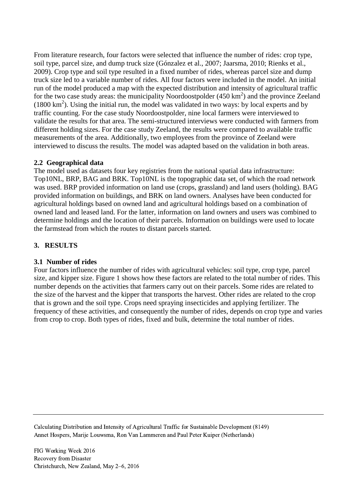From literature research, four factors were selected that influence the number of rides: crop type, soil type, parcel size, and dump truck size (Gónzalez et al., 2007; Jaarsma, 2010; Rienks et al., 2009). Crop type and soil type resulted in a fixed number of rides, whereas parcel size and dump truck size led to a variable number of rides. All four factors were included in the model. An initial run of the model produced a map with the expected distribution and intensity of agricultural traffic for the two case study areas: the municipality Noordoostpolder  $(450 \text{ km}^2)$  and the province Zeeland  $(1800 \text{ km}^2)$ . Using the initial run, the model was validated in two ways: by local experts and by traffic counting. For the case study Noordoostpolder, nine local farmers were interviewed to validate the results for that area. The semi-structured interviews were conducted with farmers from different holding sizes. For the case study Zeeland, the results were compared to available traffic measurements of the area. Additionally, two employees from the province of Zeeland were interviewed to discuss the results. The model was adapted based on the validation in both areas.

## **2.2 Geographical data**

The model used as datasets four key registries from the national spatial data infrastructure: Top10NL, BRP, BAG and BRK. Top10NL is the topographic data set, of which the road network was used. BRP provided information on land use (crops, grassland) and land users (holding). BAG provided information on buildings, and BRK on land owners. Analyses have been conducted for agricultural holdings based on owned land and agricultural holdings based on a combination of owned land and leased land. For the latter, information on land owners and users was combined to determine holdings and the location of their parcels. Information on buildings were used to locate the farmstead from which the routes to distant parcels started.

# **3. RESULTS**

# **3.1 Number of rides**

Four factors influence the number of rides with agricultural vehicles: soil type, crop type, parcel size, and kipper size. [Figure 1](#page-3-0) shows how these factors are related to the total number of rides. This number depends on the activities that farmers carry out on their parcels. Some rides are related to the size of the harvest and the kipper that transports the harvest. Other rides are related to the crop that is grown and the soil type. Crops need spraying insecticides and applying fertilizer. The frequency of these activities, and consequently the number of rides, depends on crop type and varies from crop to crop. Both types of rides, fixed and bulk, determine the total number of rides.

Calculating Distribution and Intensity of Agricultural Traffic for Sustainable Development (8149) Annet Hospers, Marije Louwsma, Ron Van Lammeren and Paul Peter Kuiper (Netherlands)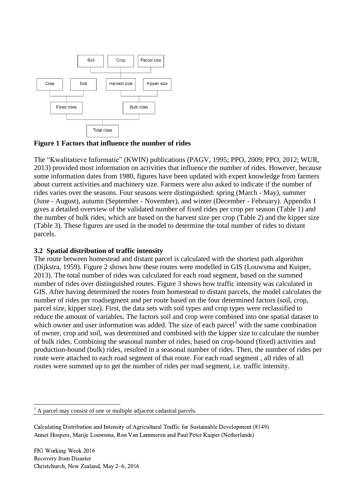

<span id="page-3-0"></span>**Figure 1 Factors that influence the number of rides**

The "Kwalitatieve Informatie" (KWIN) publications (PAGV, 1995; PPO, 2009; PPO, 2012; WUR, 2013) provided most information on activities that influence the number of rides. However, because some information dates from 1980, figures have been updated with expert knowledge from farmers about current activities and machinery size. Farmers were also asked to indicate if the number of rides varies over the seasons. Four seasons were distinguished: spring (March - May), summer (June - August), autumn (September - November), and winter (December - February). Appendix I gives a detailed overview of the validated number of fixed rides per crop per season [\(Table 1\)](#page-9-0) and the number of bulk rides, which are based on the harvest size per crop [\(Table 2\)](#page-9-1) and the kipper size [\(Table](#page-10-0) 3). These figures are used in the model to determine the total number of rides to distant parcels.

### **3.2 Spatial distribution of traffic intensity**

The route between homestead and distant parcel is calculated with the shortest path algorithm (Dijkstra, 1959). [Figure 2](#page-4-0) shows how these routes were modelled in GIS (Louwsma and Kuiper, 2013). The total number of rides was calculated for each road segment, based on the summed number of rides over distinguished routes. [Figure 3](#page-4-1) shows how traffic intensity was calculated in GIS. After having determined the routes from homestead to distant parcels, the model calculates the number of rides per roadsegment and per route based on the four determined factors (soil, crop, parcel size, kipper size). First, the data sets with soil types and crop types were reclassified to reduce the amount of variables. The factors soil and crop were combined into one spatial dataset to which owner and user information was added. The size of each parcel<sup>1</sup> with the same combination of owner, crop and soil, was determined and combined with the kipper size to calculate the number of bulk rides. Combining the seasonal number of rides, based on crop-bound (fixed) activities and production-bound (bulk) rides, resulted in a seasonal number of rides. Then, the number of rides per route were attached to each road segment of that route. For each road segment , all rides of all routes were summed up to get the number of rides per road segment, i.e. traffic intensity.

<sup>1</sup> <sup>1</sup> A parcel may consist of one or multiple adjacent cadastral parcels.

Calculating Distribution and Intensity of Agricultural Traffic for Sustainable Development (8149) Annet Hospers, Marije Louwsma, Ron Van Lammeren and Paul Peter Kuiper (Netherlands)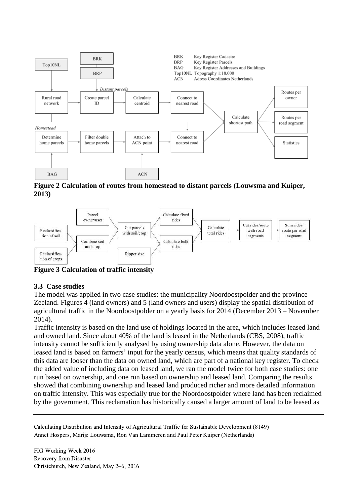

<span id="page-4-0"></span>**Figure 2 Calculation of routes from homestead to distant parcels (Louwsma and Kuiper, 2013)**



<span id="page-4-1"></span>**Figure 3 Calculation of traffic intensity**

# **3.3 Case studies**

The model was applied in two case studies: the municipality Noordoostpolder and the province Zeeland. Figures 4 (land owners) and 5 (land owners and users) display the spatial distribution of agricultural traffic in the Noordoostpolder on a yearly basis for 2014 (December 2013 – November 2014).

Traffic intensity is based on the land use of holdings located in the area, which includes leased land and owned land. Since about 40% of the land is leased in the Netherlands (CBS, 2008), traffic intensity cannot be sufficiently analysed by using ownership data alone. However, the data on leased land is based on farmers' input for the yearly census, which means that quality standards of this data are looser than the data on owned land, which are part of a national key register. To check the added value of including data on leased land, we ran the model twice for both case studies: one run based on ownership, and one run based on ownership and leased land. Comparing the results showed that combining ownership and leased land produced richer and more detailed information on traffic intensity. This was especially true for the Noordoostpolder where land has been reclaimed by the government. This reclamation has historically caused a larger amount of land to be leased as

Calculating Distribution and Intensity of Agricultural Traffic for Sustainable Development (8149) Annet Hospers, Marije Louwsma, Ron Van Lammeren and Paul Peter Kuiper (Netherlands)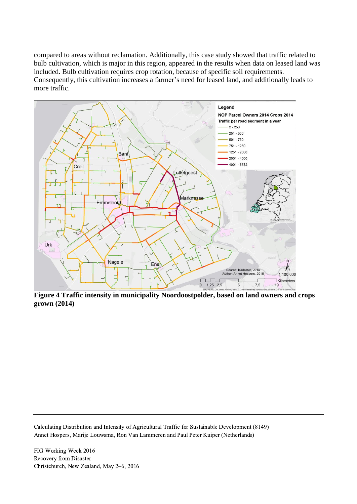compared to areas without reclamation. Additionally, this case study showed that traffic related to bulb cultivation, which is major in this region, appeared in the results when data on leased land was included. Bulb cultivation requires crop rotation, because of specific soil requirements. Consequently, this cultivation increases a farmer's need for leased land, and additionally leads to more traffic.



**Figure 4 Traffic intensity in municipality Noordoostpolder, based on land owners and crops grown (2014)**

Calculating Distribution and Intensity of Agricultural Traffic for Sustainable Development (8149) Annet Hospers, Marije Louwsma, Ron Van Lammeren and Paul Peter Kuiper (Netherlands)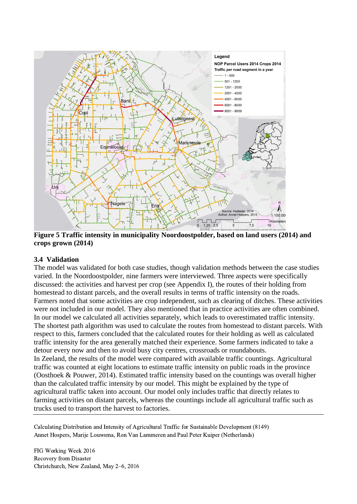

**Figure 5 Traffic intensity in municipality Noordoostpolder, based on land users (2014) and crops grown (2014)**

### **3.4 Validation**

The model was validated for both case studies, though validation methods between the case studies varied. In the Noordoostpolder, nine farmers were interviewed. Three aspects were specifically discussed: the activities and harvest per crop (see Appendix I), the routes of their holding from homestead to distant parcels, and the overall results in terms of traffic intensity on the roads. Farmers noted that some activities are crop independent, such as clearing of ditches. These activities were not included in our model. They also mentioned that in practice activities are often combined. In our model we calculated all activities separately, which leads to overestimated traffic intensity. The shortest path algorithm was used to calculate the routes from homestead to distant parcels. With respect to this, farmers concluded that the calculated routes for their holding as well as calculated traffic intensity for the area generally matched their experience. Some farmers indicated to take a detour every now and then to avoid busy city centres, crossroads or roundabouts. In Zeeland, the results of the model were compared with available traffic countings. Agricultural traffic was counted at eight locations to estimate traffic intensity on public roads in the province (Oosthoek & Pouwer, 2014). Estimated traffic intensity based on the countings was overall higher than the calculated traffic intensity by our model. This might be explained by the type of agricultural traffic taken into account. Our model only includes traffic that directly relates to farming activities on distant parcels, whereas the countings include all agricultural traffic such as trucks used to transport the harvest to factories.

Calculating Distribution and Intensity of Agricultural Traffic for Sustainable Development (8149) Annet Hospers, Marije Louwsma, Ron Van Lammeren and Paul Peter Kuiper (Netherlands)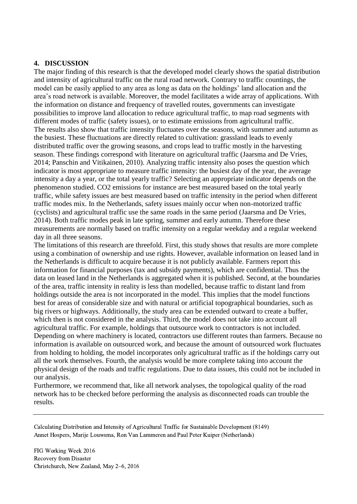## **4. DISCUSSION**

The major finding of this research is that the developed model clearly shows the spatial distribution and intensity of agricultural traffic on the rural road network. Contrary to traffic countings, the model can be easily applied to any area as long as data on the holdings' land allocation and the area's road network is available. Moreover, the model facilitates a wide array of applications. With the information on distance and frequency of travelled routes, governments can investigate possibilities to improve land allocation to reduce agricultural traffic, to map road segments with different modes of traffic (safety issues), or to estimate emissions from agricultural traffic. The results also show that traffic intensity fluctuates over the seasons, with summer and autumn as the busiest. These fluctuations are directly related to cultivation: grassland leads to evenly distributed traffic over the growing seasons, and crops lead to traffic mostly in the harvesting season. These findings correspond with literature on agricultural traffic (Jaarsma and De Vries, 2014; Panschin and Vitikainen, 2010). Analyzing traffic intensity also poses the question which indicator is most appropriate to measure traffic intensity: the busiest day of the year, the average intensity a day a year, or the total yearly traffic? Selecting an appropriate indicator depends on the phenomenon studied. CO2 emissions for instance are best measured based on the total yearly traffic, while safety issues are best measured based on traffic intensity in the period when different traffic modes mix. In the Netherlands, safety issues mainly occur when non-motorized traffic (cyclists) and agricultural traffic use the same roads in the same period (Jaarsma and De Vries, 2014). Both traffic modes peak in late spring, summer and early autumn. Therefore these measurements are normally based on traffic intensity on a regular weekday and a regular weekend day in all three seasons.

The limitations of this research are threefold. First, this study shows that results are more complete using a combination of ownership and use rights. However, available information on leased land in the Netherlands is difficult to acquire because it is not publicly available. Farmers report this information for financial purposes (tax and subsidy payments), which are confidential. Thus the data on leased land in the Netherlands is aggregated when it is published. Second, at the boundaries of the area, traffic intensity in reality is less than modelled, because traffic to distant land from holdings outside the area is not incorporated in the model. This implies that the model functions best for areas of considerable size and with natural or artificial topographical boundaries, such as big rivers or highways. Additionally, the study area can be extended outward to create a buffer, which then is not considered in the analysis. Third, the model does not take into account all agricultural traffic. For example, holdings that outsource work to contractors is not included. Depending on where machinery is located, contractors use different routes than farmers. Because no information is available on outsourced work, and because the amount of outsourced work fluctuates from holding to holding, the model incorporates only agricultural traffic as if the holdings carry out all the work themselves. Fourth, the analysis would be more complete taking into account the physical design of the roads and traffic regulations. Due to data issues, this could not be included in our analysis.

Furthermore, we recommend that, like all network analyses, the topological quality of the road network has to be checked before performing the analysis as disconnected roads can trouble the results.

Calculating Distribution and Intensity of Agricultural Traffic for Sustainable Development (8149) Annet Hospers, Marije Louwsma, Ron Van Lammeren and Paul Peter Kuiper (Netherlands)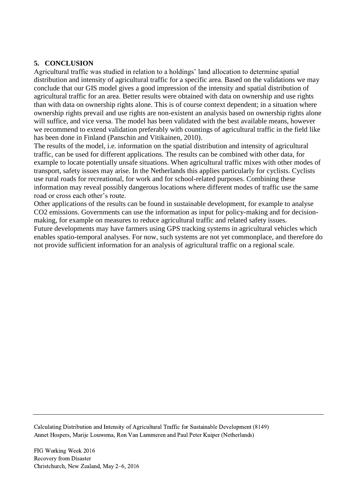# **5. CONCLUSION**

Agricultural traffic was studied in relation to a holdings' land allocation to determine spatial distribution and intensity of agricultural traffic for a specific area. Based on the validations we may conclude that our GIS model gives a good impression of the intensity and spatial distribution of agricultural traffic for an area. Better results were obtained with data on ownership and use rights than with data on ownership rights alone. This is of course context dependent; in a situation where ownership rights prevail and use rights are non-existent an analysis based on ownership rights alone will suffice, and vice versa. The model has been validated with the best available means, however we recommend to extend validation preferably with countings of agricultural traffic in the field like has been done in Finland (Panschin and Vitikainen, 2010).

The results of the model, i.e. information on the spatial distribution and intensity of agricultural traffic, can be used for different applications. The results can be combined with other data, for example to locate potentially unsafe situations. When agricultural traffic mixes with other modes of transport, safety issues may arise. In the Netherlands this applies particularly for cyclists. Cyclists use rural roads for recreational, for work and for school-related purposes. Combining these information may reveal possibly dangerous locations where different modes of traffic use the same road or cross each other's route.

Other applications of the results can be found in sustainable development, for example to analyse CO2 emissions. Governments can use the information as input for policy-making and for decisionmaking, for example on measures to reduce agricultural traffic and related safety issues. Future developments may have farmers using GPS tracking systems in agricultural vehicles which enables spatio-temporal analyses. For now, such systems are not yet commonplace, and therefore do not provide sufficient information for an analysis of agricultural traffic on a regional scale.

Calculating Distribution and Intensity of Agricultural Traffic for Sustainable Development (8149) Annet Hospers, Marije Louwsma, Ron Van Lammeren and Paul Peter Kuiper (Netherlands)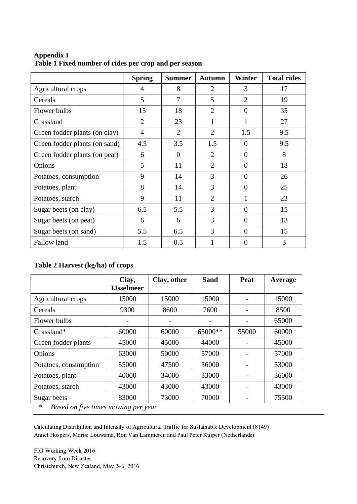|                               | <b>Spring</b>  | <b>Summer</b>  | <b>Autumn</b>  | <b>Winter</b>  | <b>Total rides</b> |
|-------------------------------|----------------|----------------|----------------|----------------|--------------------|
| Agricultural crops            | 4              | 8              | $\overline{2}$ | 3              | 17                 |
| Cereals                       | 5              | $\overline{7}$ | 5              | $\overline{2}$ | 19                 |
| Flower bulbs                  | 15             | 18             | $\overline{2}$ | $\theta$       | 35                 |
| Grassland                     | $\overline{2}$ | 23             | 1              | 1              | 27                 |
| Green fodder plants (on clay) | $\overline{4}$ | $\overline{2}$ | $\overline{2}$ | 1.5            | 9.5                |
| Green fodder plants (on sand) | 4.5            | 3.5            | 1.5            | $\Omega$       | 9.5                |
| Green fodder plants (on peat) | 6              | $\overline{0}$ | $\overline{2}$ | $\overline{0}$ | 8                  |
| Onions                        | 5              | 11             | $\overline{2}$ | $\overline{0}$ | 18                 |
| Potatoes, consumption         | 9              | 14             | 3              | $\Omega$       | 26                 |
| Potatoes, plant               | 8              | 14             | 3              | $\theta$       | 25                 |
| Potatoes, starch              | 9              | 11             | $\overline{2}$ | 1              | 23                 |
| Sugar beets (on clay)         | 6.5            | 5.5            | 3              | $\Omega$       | 15                 |
| Sugar beets (on peat)         | 6              | 6              | 3              | $\theta$       | 13                 |
| Sugar beets (on sand)         | 5.5            | 6.5            | 3              | $\Omega$       | 15                 |
| <b>Fallow land</b>            | 1.5            | 0.5            |                | $\overline{0}$ | 3                  |

<span id="page-9-0"></span>**Appendix I Table 1 Fixed number of rides per crop and per season**

## <span id="page-9-1"></span>**Table 2 Harvest (kg/ha) of crops**

|                       | Clay,<br><b>IJsselmeer</b> | Clay, other | <b>Sand</b> | Peat  | Average |
|-----------------------|----------------------------|-------------|-------------|-------|---------|
| Agricultural crops    | 15000                      | 15000       | 15000       |       | 15000   |
| Cereals               | 9300                       | 8600        | 7600        |       | 8500    |
| Flower bulbs          | $\overline{\phantom{a}}$   |             |             |       | 65000   |
| Grassland*            | 60000                      | 60000       | 65000**     | 55000 | 60000   |
| Green fodder plants   | 45000                      | 45000       | 44000       |       | 45000   |
| Onions                | 63000                      | 50000       | 57000       |       | 57000   |
| Potatoes, consumption | 55000                      | 47500       | 56000       |       | 53000   |
| Potatoes, plant       | 40000                      | 34000       | 33000       |       | 36000   |
| Potatoes, starch      | 43000                      | 43000       | 43000       |       | 43000   |
| Sugar beets           | 83000                      | 73000       | 70000       |       | 75500   |

*\* Based on five times mowing per year* 

Calculating Distribution and Intensity of Agricultural Traffic for Sustainable Development (8149) Annet Hospers, Marije Louwsma, Ron Van Lammeren and Paul Peter Kuiper (Netherlands)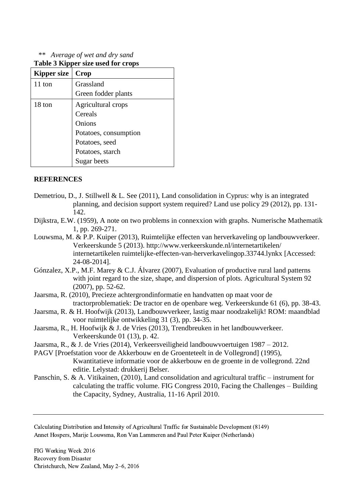*\*\* Average of wet and dry sand* 

| Kipper size | Crop                  |  |  |
|-------------|-----------------------|--|--|
| 11 ton      | Grassland             |  |  |
|             | Green fodder plants   |  |  |
| 18 ton      | Agricultural crops    |  |  |
|             | Cereals               |  |  |
|             | Onions                |  |  |
|             | Potatoes, consumption |  |  |
|             | Potatoes, seed        |  |  |
|             | Potatoes, starch      |  |  |
|             | Sugar beets           |  |  |

#### <span id="page-10-0"></span>**Table 3 Kipper size used for crops**

### **REFERENCES**

- Demetriou, D., J. Stillwell & L. See (2011), Land consolidation in Cyprus: why is an integrated planning, and decision support system required? Land use policy 29 (2012), pp. 131- 142.
- Dijkstra, E.W. (1959), A note on two problems in connexxion with graphs. Numerische Mathematik 1, pp. 269-271.
- Louwsma, M. & P.P. Kuiper (2013), Ruimtelijke effecten van herverkaveling op landbouwverkeer. Verkeerskunde 5 (2013). http://www.verkeerskunde.nl/internetartikelen/ internetartikelen ruimtelijke-effecten-van-herverkavelingop.33744.lynkx [Accessed: 24-08-2014].
- Gónzalez, X.P., M.F. Marey & C.J. Álvarez (2007), Evaluation of productive rural land patterns with joint regard to the size, shape, and dispersion of plots. Agricultural System 92 (2007), pp. 52-62.
- Jaarsma, R. (2010), Precieze achtergrondinformatie en handvatten op maat voor de tractorproblematiek: De tractor en de openbare weg. Verkeerskunde 61 (6), pp. 38-43.
- Jaarsma, R. & H. Hoofwijk (2013), Landbouwverkeer, lastig maar noodzakelijk! ROM: maandblad voor ruimtelijke ontwikkeling 31 (3), pp. 34-35.
- Jaarsma, R., H. Hoofwijk & J. de Vries (2013), Trendbreuken in het landbouwverkeer. Verkeerskunde 01 (13), p. 42.
- Jaarsma, R., & J. de Vries (2014), Verkeersveiligheid landbouwvoertuigen 1987 2012.
- PAGV [Proefstation voor de Akkerbouw en de Groenteteelt in de Vollegrond] (1995), Kwantitatieve informatie voor de akkerbouw en de groente in de vollegrond. 22nd editie. Lelystad: drukkerij Belser.
- Panschin, S. & A. Vitikainen, (2010), Land consolidation and agricultural traffic instrument for calculating the traffic volume. FIG Congress 2010, Facing the Challenges – Building the Capacity, Sydney, Australia, 11-16 April 2010.

Calculating Distribution and Intensity of Agricultural Traffic for Sustainable Development (8149) Annet Hospers, Marije Louwsma, Ron Van Lammeren and Paul Peter Kuiper (Netherlands)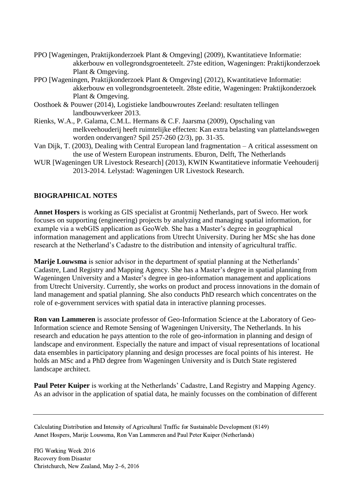- PPO [Wageningen, Praktijkonderzoek Plant & Omgeving] (2009), Kwantitatieve Informatie: akkerbouw en vollegrondsgroenteteelt. 27ste edition, Wageningen: Praktijkonderzoek Plant & Omgeving.
- PPO [Wageningen, Praktijkonderzoek Plant & Omgeving] (2012), Kwantitatieve Informatie: akkerbouw en vollegrondsgroenteteelt. 28ste editie, Wageningen: Praktijkonderzoek Plant & Omgeving.
- Oosthoek & Pouwer (2014), Logistieke landbouwroutes Zeeland: resultaten tellingen landbouwverkeer 2013.
- Rienks, W.A., P. Galama, C.M.L. Hermans & C.F. Jaarsma (2009), Opschaling van melkveehouderij heeft ruimtelijke effecten: Kan extra belasting van plattelandswegen worden ondervangen? Spil 257-260 (2/3), pp. 31-35.
- Van Dijk, T. (2003), Dealing with Central European land fragmentation A critical assessment on the use of Western European instruments. Eburon, Delft, The Netherlands
- WUR [Wageningen UR Livestock Research] (2013), KWIN Kwantitatieve informatie Veehouderij 2013-2014. Lelystad: Wageningen UR Livestock Research.

# **BIOGRAPHICAL NOTES**

**Annet Hospers** is working as GIS specialist at Grontmij Netherlands, part of Sweco. Her work focuses on supporting (engineering) projects by analyzing and managing spatial information, for example via a webGIS application as GeoWeb. She has a Master's degree in geographical information management and applications from Utrecht University. During her MSc she has done research at the Netherland's Cadastre to the distribution and intensity of agricultural traffic.

**Marije Louwsma** is senior advisor in the department of spatial planning at the Netherlands' Cadastre, Land Registry and Mapping Agency. She has a Master's degree in spatial planning from Wageningen University and a Master's degree in geo-information management and applications from Utrecht University. Currently, she works on product and process innovations in the domain of land management and spatial planning. She also conducts PhD research which concentrates on the role of e-government services with spatial data in interactive planning processes.

**Ron van Lammeren** is associate professor of Geo-Information Science at the Laboratory of Geo-Information science and Remote Sensing of Wageningen University, The Netherlands. In his research and education he pays attention to the role of geo-information in planning and design of landscape and environment. Especially the nature and impact of visual representations of locational data ensembles in participatory planning and design processes are focal points of his interest. He holds an MSc and a PhD degree from Wageningen University and is Dutch State registered landscape architect.

**Paul Peter Kuiper** is working at the Netherlands' Cadastre, Land Registry and Mapping Agency. As an advisor in the application of spatial data, he mainly focusses on the combination of different

Calculating Distribution and Intensity of Agricultural Traffic for Sustainable Development (8149) Annet Hospers, Marije Louwsma, Ron Van Lammeren and Paul Peter Kuiper (Netherlands)